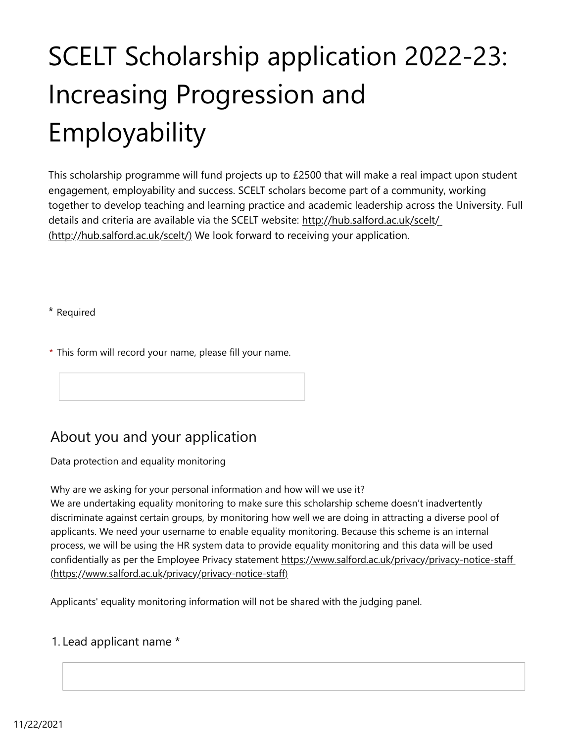# SCELT Scholarship application 2022-23: Increasing Progression and Employability

This scholarship programme will fund projects up to £2500 that will make a real impact upon student engagement, employability and success. SCELT scholars become part of a community, working together to develop teaching and learning practice and academic leadership across the University. Full details and criteria are available via the SCELT website: <http://hub.salford.ac.uk/scelt/> [\(http://hub.salford.ac.uk/scelt/\)](http://hub.salford.ac.uk/scelt/) We look forward to receiving your application.

\* Required

\* This form will record your name, please fill your name.

## About you and your application

Data protection and equality monitoring

Why are we asking for your personal information and how will we use it?

We are undertaking equality monitoring to make sure this scholarship scheme doesn't inadvertently discriminate against certain groups, by monitoring how well we are doing in attracting a diverse pool of applicants. We need your username to enable equality monitoring. Because this scheme is an internal process, we will be using the HR system data to provide equality monitoring and this data will be used confidentially as per the Employee Privacy statement <https://www.salford.ac.uk/privacy/privacy-notice-staff> [\(https://www.salford.ac.uk/privacy/privacy-notice-staff\)](https://www.salford.ac.uk/privacy/privacy-notice-staff)

Applicants' equality monitoring information will not be shared with the judging panel.

## 1. Lead applicant name \*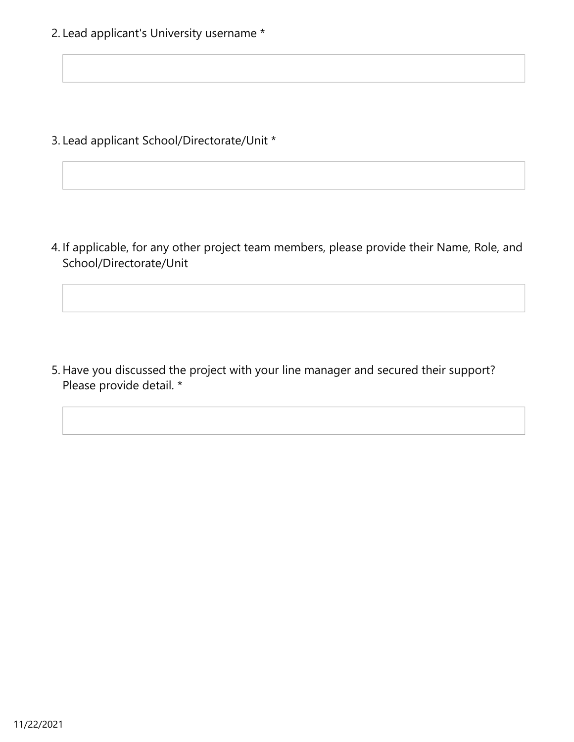2. Lead applicant's University username \*

3. Lead applicant School/Directorate/Unit \*

4. If applicable, for any other project team members, please provide their Name, Role, and School/Directorate/Unit

5. Have you discussed the project with your line manager and secured their support? Please provide detail. \*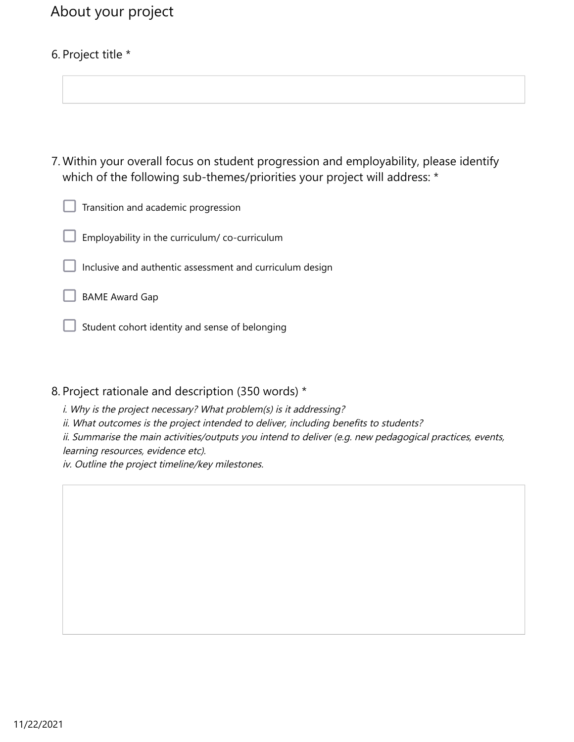## About your project

## 6. Project title \*

Within your overall focus on student progression and employability, please identify 7. which of the following sub-themes/priorities your project will address: \*

Transition and academic progression

Employability in the curriculum/ co-curriculum

Inclusive and authentic assessment and curriculum design

BAME Award Gap

Student cohort identity and sense of belonging

#### 8. Project rationale and description (350 words) \*

i. Why is the project necessary? What problem(s) is it addressing?

ii. What outcomes is the project intended to deliver, including benefits to students?

ii. Summarise the main activities/outputs you intend to deliver (e.g. new pedagogical practices, events, learning resources, evidence etc).

iv. Outline the project timeline/key milestones.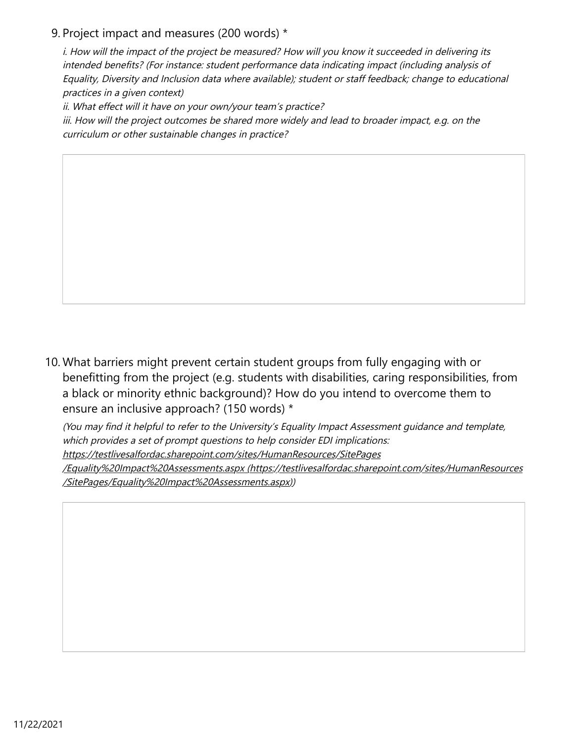### 9. Project impact and measures (200 words) \*

i. How will the impact of the project be measured? How will you know it succeeded in delivering its intended benefits? (For instance: student performance data indicating impact (including analysis of Equality, Diversity and Inclusion data where available); student or staff feedback; change to educational practices in a given context)

ii. What effect will it have on your own/your team's practice?

iii. How will the project outcomes be shared more widely and lead to broader impact, e.g. on the curriculum or other sustainable changes in practice?

10. What barriers might prevent certain student groups from fully engaging with or benefitting from the project (e.g. students with disabilities, caring responsibilities, from a black or minority ethnic background)? How do you intend to overcome them to ensure an inclusive approach? (150 words) \*

(You may find it helpful to refer to the University's Equality Impact Assessment guidance and template, which provides a set of prompt questions to help consider EDI implications:

[https://testlivesalfordac.sharepoint.com/sites/HumanResources/SitePages](https://testlivesalfordac.sharepoint.com/sites/HumanResources/SitePages/Equality%20Impact%20Assessments.aspx)

[/Equality%20Impact%20Assessments.aspx \(https://testlivesalfordac.sharepoint.com/sites/HumanResources](https://testlivesalfordac.sharepoint.com/sites/HumanResources/SitePages/Equality%20Impact%20Assessments.aspx) [/SitePages/Equality%20Impact%20Assessments.aspx\)\)](https://testlivesalfordac.sharepoint.com/sites/HumanResources/SitePages/Equality%20Impact%20Assessments.aspx)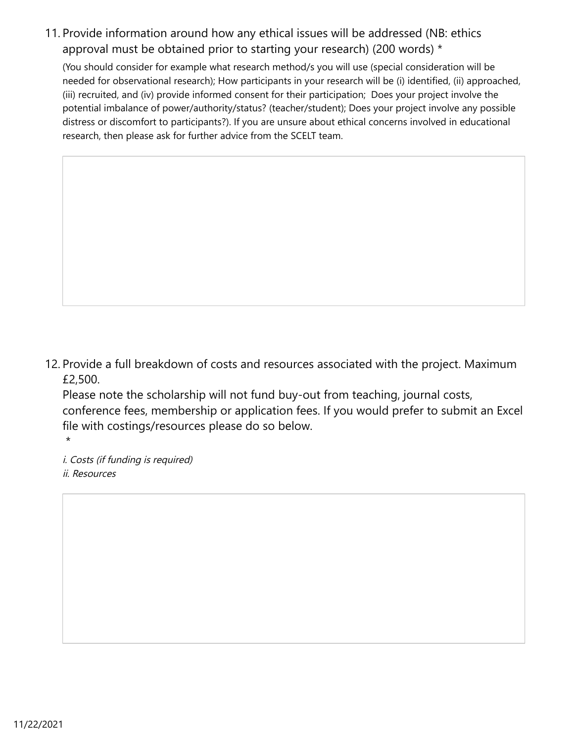11. Provide information around how any ethical issues will be addressed (NB: ethics approval must be obtained prior to starting your research) (200 words) \*

(You should consider for example what research method/s you will use (special consideration will be needed for observational research); How participants in your research will be (i) identified, (ii) approached, (iii) recruited, and (iv) provide informed consent for their participation; Does your project involve the potential imbalance of power/authority/status? (teacher/student); Does your project involve any possible distress or discomfort to participants?). If you are unsure about ethical concerns involved in educational research, then please ask for further advice from the SCELT team.

12. Provide a full breakdown of costs and resources associated with the project. Maximum £2,500.

Please note the scholarship will not fund buy-out from teaching, journal costs, conference fees, membership or application fees. If you would prefer to submit an Excel file with costings/resources please do so below.

i. Costs (if funding is required) ii. Resources

\*